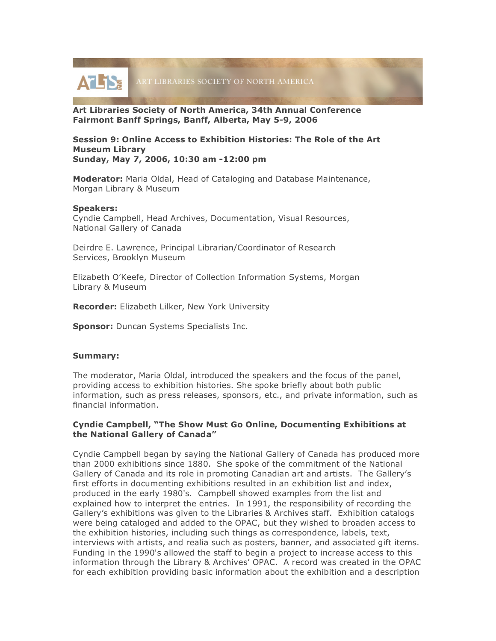

**Art Libraries Society of North America, 34th Annual Conference Fairmont Banff Springs, Banff, Alberta, May 5-9, 2006**

### **Session 9: Online Access to Exhibition Histories: The Role of the Art Museum Library Sunday, May 7, 2006, 10:30 am -12:00 pm**

**Moderator:** Maria Oldal, Head of Cataloging and Database Maintenance, Morgan Library & Museum

### **Speakers:**

Cyndie Campbell, Head Archives, Documentation, Visual Resources, National Gallery of Canada

Deirdre E. Lawrence, Principal Librarian/Coordinator of Research Services, Brooklyn Museum

Elizabeth O'Keefe, Director of Collection Information Systems, Morgan Library & Museum

**Recorder:** Elizabeth Lilker, New York University

**Sponsor:** Duncan Systems Specialists Inc.

### **Summary:**

The moderator, Maria Oldal, introduced the speakers and the focus of the panel, providing access to exhibition histories. She spoke briefly about both public information, such as press releases, sponsors, etc., and private information, such as financial information.

# **Cyndie Campbell, "The Show Must Go Online, Documenting Exhibitions at the National Gallery of Canada"**

Cyndie Campbell began by saying the National Gallery of Canada has produced more than 2000 exhibitions since 1880. She spoke of the commitment of the National Gallery of Canada and its role in promoting Canadian art and artists. The Gallery's first efforts in documenting exhibitions resulted in an exhibition list and index, produced in the early 1980's. Campbell showed examples from the list and explained how to interpret the entries. In 1991, the responsibility of recording the Gallery's exhibitions was given to the Libraries & Archives staff. Exhibition catalogs were being cataloged and added to the OPAC, but they wished to broaden access to the exhibition histories, including such things as correspondence, labels, text, interviews with artists, and realia such as posters, banner, and associated gift items. Funding in the 1990's allowed the staff to begin a project to increase access to this information through the Library & Archives' OPAC. A record was created in the OPAC for each exhibition providing basic information about the exhibition and a description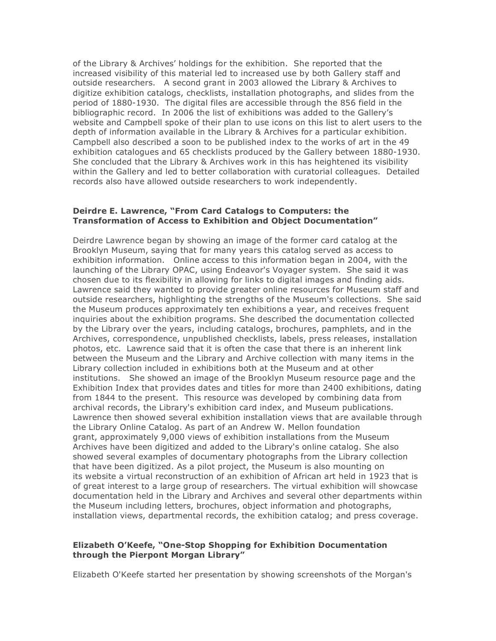of the Library & Archives' holdings for the exhibition. She reported that the increased visibility of this material led to increased use by both Gallery staff and outside researchers. A second grant in 2003 allowed the Library & Archives to digitize exhibition catalogs, checklists, installation photographs, and slides from the period of 1880-1930. The digital files are accessible through the 856 field in the bibliographic record. In 2006 the list of exhibitions was added to the Gallery's website and Campbell spoke of their plan to use icons on this list to alert users to the depth of information available in the Library & Archives for a particular exhibition. Campbell also described a soon to be published index to the works of art in the 49 exhibition catalogues and 65 checklists produced by the Gallery between 1880-1930. She concluded that the Library & Archives work in this has heightened its visibility within the Gallery and led to better collaboration with curatorial colleagues. Detailed records also have allowed outside researchers to work independently.

# **Deirdre E. Lawrence, "From Card Catalogs to Computers: the Transformation of Access to Exhibition and Object Documentation"**

Deirdre Lawrence began by showing an image of the former card catalog at the Brooklyn Museum, saying that for many years this catalog served as access to exhibition information. Online access to this information began in 2004, with the launching of the Library OPAC, using Endeavor's Voyager system. She said it was chosen due to its flexibility in allowing for links to digital images and finding aids. Lawrence said they wanted to provide greater online resources for Museum staff and outside researchers, highlighting the strengths of the Museum's collections. She said the Museum produces approximately ten exhibitions a year, and receives frequent inquiries about the exhibition programs. She described the documentation collected by the Library over the years, including catalogs, brochures, pamphlets, and in the Archives, correspondence, unpublished checklists, labels, press releases, installation photos, etc. Lawrence said that it is often the case that there is an inherent link between the Museum and the Library and Archive collection with many items in the Library collection included in exhibitions both at the Museum and at other institutions. She showed an image of the Brooklyn Museum resource page and the Exhibition Index that provides dates and titles for more than 2400 exhibitions, dating from 1844 to the present. This resource was developed by combining data from archival records, the Library's exhibition card index, and Museum publications. Lawrence then showed several exhibition installation views that are available through the Library Online Catalog. As part of an Andrew W. Mellon foundation grant, approximately 9,000 views of exhibition installations from the Museum Archives have been digitized and added to the Library's online catalog. She also showed several examples of documentary photographs from the Library collection that have been digitized. As a pilot project, the Museum is also mounting on its website a virtual reconstruction of an exhibition of African art held in 1923 that is of great interest to a large group of researchers. The virtual exhibition will showcase documentation held in the Library and Archives and several other departments within the Museum including letters, brochures, object information and photographs, installation views, departmental records, the exhibition catalog; and press coverage.

### **Elizabeth O'Keefe, "One-Stop Shopping for Exhibition Documentation through the Pierpont Morgan Library"**

Elizabeth O'Keefe started her presentation by showing screenshots of the Morgan's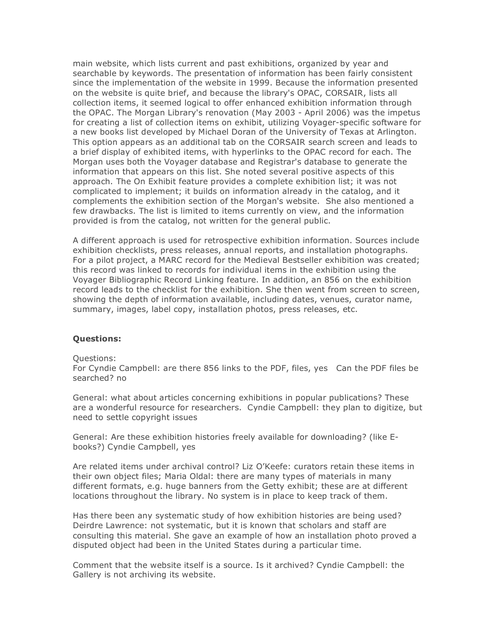main website, which lists current and past exhibitions, organized by year and searchable by keywords. The presentation of information has been fairly consistent since the implementation of the website in 1999. Because the information presented on the website is quite brief, and because the library's OPAC, CORSAIR, lists all collection items, it seemed logical to offer enhanced exhibition information through the OPAC. The Morgan Library's renovation (May 2003 - April 2006) was the impetus for creating a list of collection items on exhibit, utilizing Voyager-specific software for a new books list developed by Michael Doran of the University of Texas at Arlington. This option appears as an additional tab on the CORSAIR search screen and leads to a brief display of exhibited items, with hyperlinks to the OPAC record for each. The Morgan uses both the Voyager database and Registrar's database to generate the information that appears on this list. She noted several positive aspects of this approach. The On Exhibit feature provides a complete exhibition list; it was not complicated to implement; it builds on information already in the catalog, and it complements the exhibition section of the Morgan's website. She also mentioned a few drawbacks. The list is limited to items currently on view, and the information provided is from the catalog, not written for the general public.

A different approach is used for retrospective exhibition information. Sources include exhibition checklists, press releases, annual reports, and installation photographs. For a pilot project, a MARC record for the Medieval Bestseller exhibition was created; this record was linked to records for individual items in the exhibition using the Voyager Bibliographic Record Linking feature. In addition, an 856 on the exhibition record leads to the checklist for the exhibition. She then went from screen to screen, showing the depth of information available, including dates, venues, curator name, summary, images, label copy, installation photos, press releases, etc.

### **Questions:**

Questions:

For Cyndie Campbell: are there 856 links to the PDF, files, yes Can the PDF files be searched? no

General: what about articles concerning exhibitions in popular publications? These are a wonderful resource for researchers. Cyndie Campbell: they plan to digitize, but need to settle copyright issues

General: Are these exhibition histories freely available for downloading? (like Ebooks?) Cyndie Campbell, yes

Are related items under archival control? Liz O'Keefe: curators retain these items in their own object files; Maria Oldal: there are many types of materials in many different formats, e.g. huge banners from the Getty exhibit; these are at different locations throughout the library. No system is in place to keep track of them.

Has there been any systematic study of how exhibition histories are being used? Deirdre Lawrence: not systematic, but it is known that scholars and staff are consulting this material. She gave an example of how an installation photo proved a disputed object had been in the United States during a particular time.

Comment that the website itself is a source. Is it archived? Cyndie Campbell: the Gallery is not archiving its website.